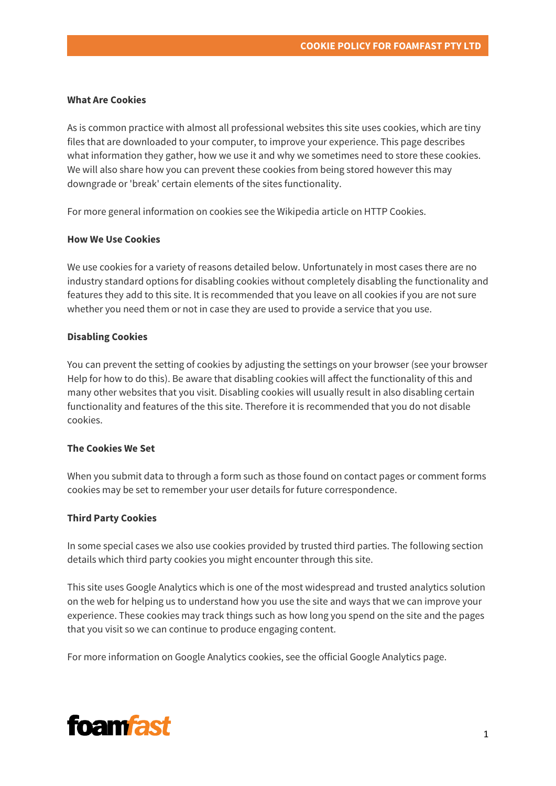#### **What Are Cookies**

As is common practice with almost all professional websites this site uses cookies, which are tiny files that are downloaded to your computer, to improve your experience. This page describes what information they gather, how we use it and why we sometimes need to store these cookies. We will also share how you can prevent these cookies from being stored however this may downgrade or 'break' certain elements of the sites functionality.

For more general information on cookies see the Wikipedia article on HTTP Cookies.

#### **How We Use Cookies**

We use cookies for a variety of reasons detailed below. Unfortunately in most cases there are no industry standard options for disabling cookies without completely disabling the functionality and features they add to this site. It is recommended that you leave on all cookies if you are not sure whether you need them or not in case they are used to provide a service that you use.

### **Disabling Cookies**

You can prevent the setting of cookies by adjusting the settings on your browser (see your browser Help for how to do this). Be aware that disabling cookies will affect the functionality of this and many other websites that you visit. Disabling cookies will usually result in also disabling certain functionality and features of the this site. Therefore it is recommended that you do not disable cookies.

# **The Cookies We Set**

When you submit data to through a form such as those found on contact pages or comment forms cookies may be set to remember your user details for future correspondence.

# **Third Party Cookies**

In some special cases we also use cookies provided by trusted third parties. The following section details which third party cookies you might encounter through this site.

This site uses Google Analytics which is one of the most widespread and trusted analytics solution on the web for helping us to understand how you use the site and ways that we can improve your experience. These cookies may track things such as how long you spend on the site and the pages that you visit so we can continue to produce engaging content.

For more information on Google Analytics cookies, see the official Google Analytics page.